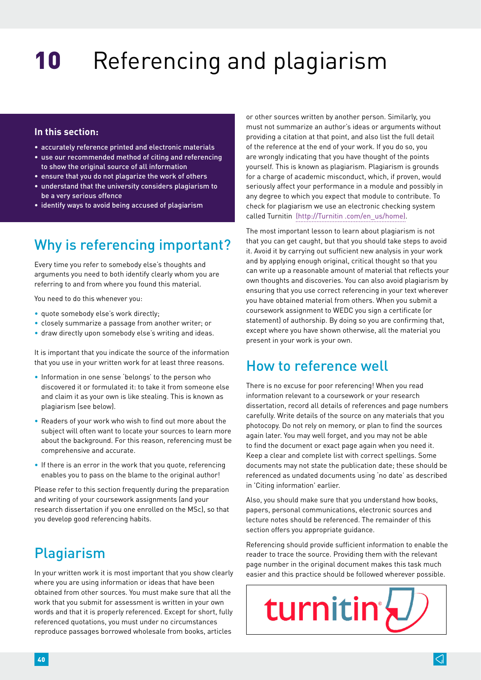# **In this section:**

- accurately reference printed and electronic materials
- use our recommended method of citing and referencing to show the original source of all information
- ensure that you do not plagarize the work of others
- understand that the university considers plagiarism to be a very serious offence
- identify ways to avoid being accused of plagiarism

# Why is referencing important?

Every time you refer to somebody else's thoughts and arguments you need to both identify clearly whom you are referring to and from where you found this material.

You need to do this whenever you:

- quote somebody else's work directly;
- closely summarize a passage from another writer; or
- draw directly upon somebody else's writing and ideas.

It is important that you indicate the source of the information that you use in your written work for at least three reasons.

- Information in one sense 'belongs' to the person who discovered it or formulated it: to take it from someone else and claim it as your own is like stealing. This is known as plagiarism (see below).
- Readers of your work who wish to find out more about the subject will often want to locate your sources to learn more about the background. For this reason, referencing must be comprehensive and accurate.
- If there is an error in the work that you quote, referencing enables you to pass on the blame to the original author!

Please refer to this section frequently during the preparation and writing of your coursework assignments (and your research dissertation if you one enrolled on the MSc), so that you develop good referencing habits.

# Plagiarism

In your written work it is most important that you show clearly where you are using information or ideas that have been obtained from other sources. You must make sure that all the work that you submit for assessment is written in your own words and that it is properly referenced. Except for short, fully referenced quotations, you must under no circumstances reproduce passages borrowed wholesale from books, articles

or other sources written by another person. Similarly, you must not summarize an author's ideas or arguments without providing a citation at that point, and also list the full detail of the reference at the end of your work. If you do so, you are wrongly indicating that you have thought of the points yourself. This is known as plagiarism. Plagiarism is grounds for a charge of academic misconduct, which, if proven, would seriously affect your performance in a module and possibly in any degree to which you expect that module to contribute. To check for plagiarism we use an electronic checking system called Turnitin [\(http://Turnitin .com/en\\_us/home\).](http://turnitin.com/en_us/home)

The most important lesson to learn about plagiarism is not that you can get caught, but that you should take steps to avoid it. Avoid it by carrying out sufficient new analysis in your work and by applying enough original, critical thought so that you can write up a reasonable amount of material that reflects your own thoughts and discoveries. You can also avoid plagiarism by ensuring that you use correct referencing in your text wherever you have obtained material from others. When you submit a coursework assignment to WEDC you sign a certificate (or statement) of authorship. By doing so you are confirming that, except where you have shown otherwise, all the material you present in your work is your own.

# How to reference well

There is no excuse for poor referencing! When you read information relevant to a coursework or your research dissertation, record all details of references and page numbers carefully. Write details of the source on any materials that you photocopy. Do not rely on memory, or plan to find the sources again later. You may well forget, and you may not be able to find the document or exact page again when you need it. Keep a clear and complete list with correct spellings. Some documents may not state the publication date; these should be referenced as undated documents using 'no date' as described in 'Citing information' earlier.

Also, you should make sure that you understand how books, papers, personal communications, electronic sources and lecture notes should be referenced. The remainder of this section offers you appropriate guidance.

Referencing should provide sufficient information to enable the reader to trace the source. Providing them with the relevant page number in the original document makes this task much easier and this practice should be followed wherever possible.

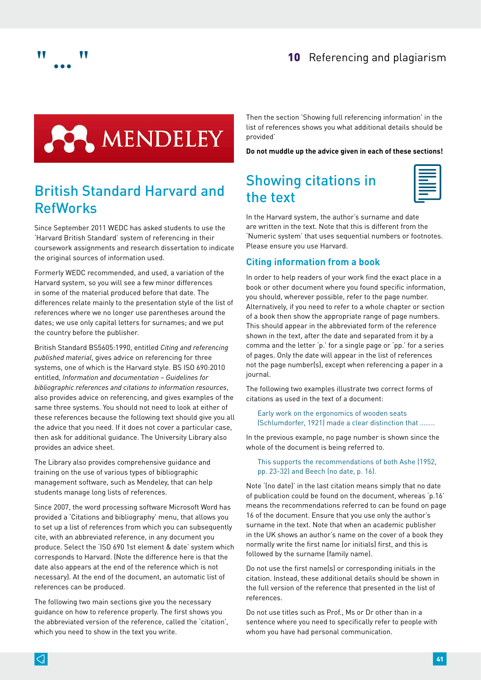





# British Standard Harvard and RefWorks

Since September 2011 WEDC has asked students to use the 'Harvard British Standard' system of referencing in their coursework assignments and research dissertation to indicate the original sources of information used.

Formerly WEDC recommended, and used, a variation of the Harvard system, so you will see a few minor differences in some of the material produced before that date. The differences relate mainly to the presentation style of the list of references where we no longer use parentheses around the dates; we use only capital letters for surnames; and we put the country before the publisher.

British Standard BS5605:1990, entitled *Citing and referencing published material*, gives advice on referencing for three systems, one of which is the Harvard style. BS ISO 690:2010 entitled, *Information and documentation – Guidelines for bibliographic references and citations to information resources*, also provides advice on referencing, and gives examples of the same three systems. You should not need to look at either of these references because the following text should give you all the advice that you need. If it does not cover a particular case, then ask for additional guidance. The University Library also provides an advice sheet.

The Library also provides comprehensive guidance and training on the use of various types of bibliographic management software, such as Mendeley, that can help students manage long lists of references.

Since 2007, the word processing software Microsoft Word has provided a 'Citations and bibliography' menu, that allows you to set up a list of references from which you can subsequently cite, with an abbreviated reference, in any document you produce. Select the 'ISO 690 1st element & date' system which corresponds to Harvard. (Note the difference here is that the date also appears at the end of the reference which is not necessary). At the end of the document, an automatic list of references can be produced.

The following two main sections give you the necessary guidance on how to reference properly. The first shows you the abbreviated version of the reference, called the 'citation', which you need to show in the text you write.

Then the section '[Showing full referencing information' in the](#page-3-0)  [list of references](#page-3-0) shows you what additional details should be provided'

**Do not muddle up the advice given in each of these sections!**

# Showing citations in the text

In the Harvard system, the author's surname and date are written in the text. Note that this is different from the 'Numeric system' that uses sequential numbers or footnotes. Please ensure you use Harvard.

# **Citing information from a book**

In order to help readers of your work find the exact place in a book or other document where you found specific information, you should, wherever possible, refer to the page number. Alternatively, if you need to refer to a whole chapter or section of a book then show the appropriate range of page numbers. This should appear in the abbreviated form of the reference shown in the text, after the date and separated from it by a comma and the letter 'p.' for a single page or 'pp.' for a series of pages. Only the date will appear in the list of references not the page number(s), except when referencing a paper in a journal.

The following two examples illustrate two correct forms of citations as used in the text of a document:

Early work on the ergonomics of wooden seats (Schlumdorfer, 1921) made a clear distinction that ……..

In the previous example, no page number is shown since the whole of the document is being referred to.

### This supports the recommendations of both Ashe (1952, pp. 23-32) and Beech (no date, p. 16).

Note '(no date)' in the last citation means simply that no date of publication could be found on the document, whereas 'p.16' means the recommendations referred to can be found on page 16 of the document. Ensure that you use only the author's surname in the text. Note that when an academic publisher in the UK shows an author's name on the cover of a book they normally write the first name (or initials) first, and this is followed by the surname (family name).

Do not use the first name(s) or corresponding initials in the citation. Instead, these additional details should be shown in the full version of the reference that presented in the list of references.

Do not use titles such as Prof., Ms or Dr other than in a sentence where you need to specifically refer to people with whom you have had personal communication.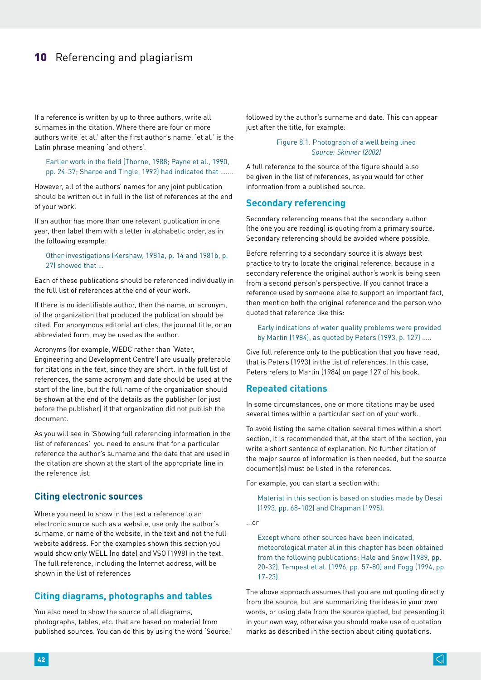If a reference is written by up to three authors, write all surnames in the citation. Where there are four or more authors write 'et al.' after the first author's name. 'et al.' is the Latin phrase meaning 'and others'.

#### Earlier work in the field (Thorne, 1988; Payne et al., 1990, pp. 24-37; Sharpe and Tingle, 1992) had indicated that …….

However, all of the authors' names for any joint publication should be written out in full in the list of references at the end of your work.

If an author has more than one relevant publication in one year, then label them with a letter in alphabetic order, as in the following example:

#### Other investigations (Kershaw, 1981a, p. 14 and 1981b, p. 27) showed that …

Each of these publications should be referenced individually in the full list of references at the end of your work.

If there is no identifiable author, then the name, or acronym, of the organization that produced the publication should be cited. For anonymous editorial articles, the journal title, or an abbreviated form, may be used as the author.

Acronyms (for example, WEDC rather than 'Water, Engineering and Development Centre') are usually preferable for citations in the text, since they are short. In the full list of references, the same acronym and date should be used at the start of the line, but the full name of the organization should be shown at the end of the details as the publisher (or just before the publisher) if that organization did not publish the document.

As you will see in '[Showing full referencing information in the](#page-3-0)  [list of references](#page-3-0)' you need to ensure that for a particular reference the author's surname and the date that are used in the citation are shown at the start of the appropriate line in the reference list.

# **Citing electronic sources**

Where you need to show in the text a reference to an electronic source such as a website, use only the author's surname, or name of the website, in the text and not the full website address. For the examples shown this section you would show only WELL (no date) and VSO (1998) in the text. The full reference, including the Internet address, will be shown in the list of references

# **Citing diagrams, photographs and tables**

You also need to show the source of all diagrams, photographs, tables, etc. that are based on material from published sources. You can do this by using the word 'Source:' followed by the author's surname and date. This can appear just after the title, for example:

#### Figure 8.1. Photograph of a well being lined *Source: Skinner (2002)*

A full reference to the source of the figure should also be given in the list of references, as you would for other information from a published source.

### <span id="page-2-0"></span>**Secondary referencing**

Secondary referencing means that the secondary author (the one you are reading) is quoting from a primary source. Secondary referencing should be avoided where possible.

Before referring to a secondary source it is always best practice to try to locate the original reference, because in a secondary reference the original author's work is being seen from a second person's perspective. If you cannot trace a reference used by someone else to support an important fact, then mention both the original reference and the person who quoted that reference like this:

Early indications of water quality problems were provided by Martin (1984), as quoted by Peters (1993, p. 127) …..

Give full reference only to the publication that you have read, that is Peters (1993) in the list of references. In this case, Peters refers to Martin (1984) on page 127 of his book.

### **Repeated citations**

In some circumstances, one or more citations may be used several times within a particular section of your work.

To avoid listing the same citation several times within a short section, it is recommended that, at the start of the section, you write a short sentence of explanation. No further citation of the major source of information is then needed, but the source document(s) must be listed in the references.

For example, you can start a section with:

Material in this section is based on studies made by Desai (1993, pp. 68-102) and Chapman (1995).

...or

Except where other sources have been indicated, meteorological material in this chapter has been obtained from the following publications: Hale and Snow (1989, pp. 20-32), Tempest et al. (1996, pp. 57-80) and Fogg (1994, pp. 17-23).

The above approach assumes that you are not quoting directly from the source, but are summarizing the ideas in your own words, or using data from the source quoted, but presenting it in your own way, otherwise you should make use of quotation marks as described in the section about citing quotations.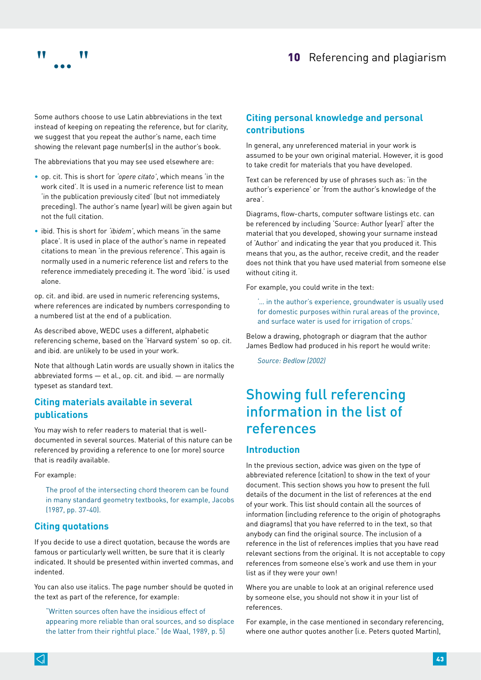

Some authors choose to use Latin abbreviations in the text instead of keeping on repeating the reference, but for clarity, we suggest that you repeat the author's name, each time showing the relevant page number(s) in the author's book.

The abbreviations that you may see used elsewhere are:

- op. cit. This is short for *'opere citato'*, which means 'in the work cited'. It is used in a numeric reference list to mean 'in the publication previously cited' (but not immediately preceding). The author's name (year) will be given again but not the full citation.
- ibid. This is short for *'ibidem'*, which means 'in the same place'. It is used in place of the author's name in repeated citations to mean 'in the previous reference'. This again is normally used in a numeric reference list and refers to the reference immediately preceding it. The word 'ibid.' is used alone.

op. cit. and ibid. are used in numeric referencing systems, where references are indicated by numbers corresponding to a numbered list at the end of a publication.

As described above, WEDC uses a different, alphabetic referencing scheme, based on the 'Harvard system' so op. cit. and ibid. are unlikely to be used in your work.

Note that although Latin words are usually shown in italics the abbreviated forms — et al., op. cit. and ibid. — are normally typeset as standard text.

# **Citing materials available in several publications**

You may wish to refer readers to material that is welldocumented in several sources. Material of this nature can be referenced by providing a reference to one (or more) source that is readily available.

For example:

The proof of the intersecting chord theorem can be found in many standard geometry textbooks, for example, Jacobs (1987, pp. 37-40).

# **Citing quotations**

If you decide to use a direct quotation, because the words are famous or particularly well written, be sure that it is clearly indicated. It should be presented within inverted commas, and indented.

You can also use italics. The page number should be quoted in the text as part of the reference, for example:

"Written sources often have the insidious effect of appearing more reliable than oral sources, and so displace the latter from their rightful place." (de Waal, 1989, p. 5)

# **Citing personal knowledge and personal contributions**

In general, any unreferenced material in your work is assumed to be your own original material. However, it is good to take credit for materials that you have developed.

Text can be referenced by use of phrases such as: 'in the author's experience' or 'from the author's knowledge of the area'.

Diagrams, flow-charts, computer software listings etc. can be referenced by including 'Source: Author (year)' after the material that you developed, showing your surname instead of 'Author' and indicating the year that you produced it. This means that you, as the author, receive credit, and the reader does not think that you have used material from someone else without citing it.

For example, you could write in the text:

'… in the author's experience, groundwater is usually used for domestic purposes within rural areas of the province, and surface water is used for irrigation of crops.'

Below a drawing, photograph or diagram that the author James Bedlow had produced in his report he would write:

*Source: Bedlow (2002)*

# <span id="page-3-0"></span>Showing full referencing information in the list of references

### **Introduction**

In the previous section, advice was given on the type of abbreviated reference (citation) to show in the text of your document. This section shows you how to present the full details of the document in the list of references at the end of your work. This list should contain all the sources of information (including reference to the origin of photographs and diagrams) that you have referred to in the text, so that anybody can find the original source. The inclusion of a reference in the list of references implies that you have read relevant sections from the original. It is not acceptable to copy references from someone else's work and use them in your list as if they were your own!

Where you are unable to look at an original reference used by someone else, you should not show it in your list of references.

For example, in the case mentioned in s[econdary referencing,](#page-2-0)  where one author quotes another (i.e. Peters quoted Martin),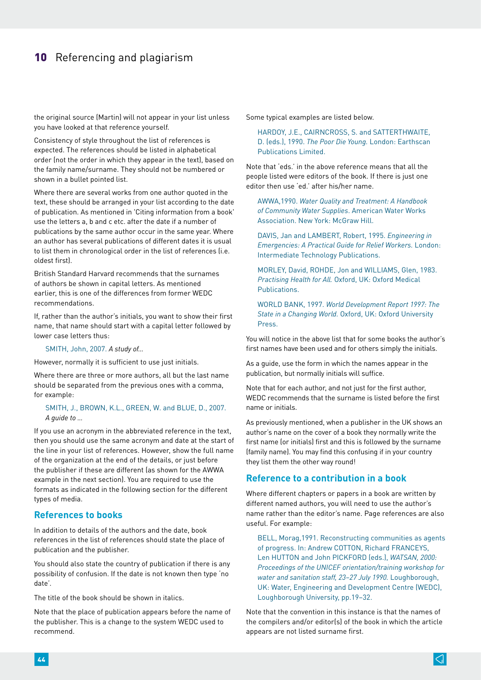the original source (Martin) will not appear in your list unless you have looked at that reference yourself.

Consistency of style throughout the list of references is expected. The references should be listed in alphabetical order (not the order in which they appear in the text), based on the family name/surname. They should not be numbered or shown in a bullet pointed list.

Where there are several works from one author quoted in the text, these should be arranged in your list according to the date of publication. As mentioned in 'Citing information from a book' use the letters a, b and c etc. after the date if a number of publications by the same author occur in the same year. Where an author has several publications of different dates it is usual to list them in chronological order in the list of references (i.e. oldest first).

British Standard Harvard recommends that the surnames of authors be shown in capital letters. As mentioned earlier, this is one of the differences from former WEDC recommendations.

If, rather than the author's initials, you want to show their first name, that name should start with a capital letter followed by lower case letters thus:

SMITH, John, 2007. *A study of…*

However, normally it is sufficient to use just initials.

Where there are three or more authors, all but the last name should be separated from the previous ones with a comma, for example:

#### SMITH, J., BROWN, K.L., GREEN, W. and BLUE, D., 2007. *A guide to …*

If you use an acronym in the abbreviated reference in the text, then you should use the same acronym and date at the start of the line in your list of references. However, show the full name of the organization at the end of the details, or just before the publisher if these are different (as shown for the AWWA example in the next section). You are required to use the formats as indicated in the following section for the different types of media.

### **References to books**

In addition to details of the authors and the date, book references in the list of references should state the place of publication and the publisher.

You should also state the country of publication if there is any possibility of confusion. If the date is not known then type 'no date'.

The title of the book should be shown in italics.

Note that the place of publication appears before the name of the publisher. This is a change to the system WEDC used to recommend.

Some typical examples are listed below.

HARDOY, J.E., CAIRNCROSS, S. and SATTERTHWAITE, D. (eds.), 1990. *The Poor Die Young.* London: Earthscan Publications Limited.

Note that 'eds.' in the above reference means that all the people listed were editors of the book. If there is just one editor then use 'ed.' after his/her name.

AWWA,1990. *Water Quality and Treatment: A Handbook of Community Water Supplies*. American Water Works Association. New York: McGraw Hill.

DAVIS, Jan and LAMBERT, Robert, 1995. *Engineering in Emergencies: A Practical Guide for Relief Workers.* London: Intermediate Technology Publications.

MORLEY, David, ROHDE, Jon and WILLIAMS, Glen, 1983. *Practising Health for All.* Oxford, UK: Oxford Medical Publications.

WORLD BANK, 1997. *World Development Report 1997: The State in a Changing World.* Oxford, UK: Oxford University Press.

You will notice in the above list that for some books the author's first names have been used and for others simply the initials.

As a guide, use the form in which the names appear in the publication, but normally initials will suffice.

Note that for each author, and not just for the first author, WEDC recommends that the surname is listed before the first name or initials.

As previously mentioned, when a publisher in the UK shows an author's name on the cover of a book they normally write the first name (or initials) first and this is followed by the surname (family name). You may find this confusing if in your country they list them the other way round!

# **Reference to a contribution in a book**

Where different chapters or papers in a book are written by different named authors, you will need to use the author's name rather than the editor's name. Page references are also useful. For example:

BELL, Morag,1991. Reconstructing communities as agents of progress. In: Andrew COTTON, Richard FRANCEYS, Len HUTTON and John PICKFORD (eds.), *WATSAN, 2000: Proceedings of the UNICEF orientation/training workshop for water and sanitation staff, 23–27 July 1990.* Loughborough, UK: Water, Engineering and Development Centre (WEDC), Loughborough University, pp.19–32.

Note that the convention in this instance is that the names of the compilers and/or editor(s) of the book in which the article appears are not listed surname first.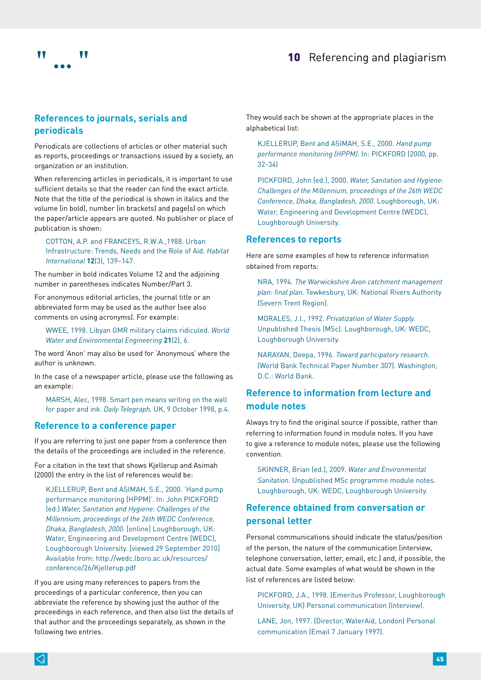

# **References to journals, serials and periodicals**

Periodicals are collections of articles or other material such as reports, proceedings or transactions issued by a society, an organization or an institution.

When referencing articles in periodicals, it is important to use sufficient details so that the reader can find the exact article. Note that the title of the periodical is shown in italics and the volume (in bold), number (in brackets) and page(s) on which the paper/article appears are quoted. No publisher or place of publication is shown:

COTTON, A.P. and FRANCEYS, R.W.A.,1988. Urban Infrastructure: Trends, Needs and the Role of Aid. *Habitat International* **12**(3), 139–147.

The number in bold indicates Volume 12 and the adjoining number in parentheses indicates Number/Part 3.

For anonymous editorial articles, the journal title or an abbreviated form may be used as the author (see also comments on using acronyms). For example:

WWEE, 1998. Libyan GMR military claims ridiculed. *World Water and Environmental Engineering* **21**(2), 6.

The word 'Anon' may also be used for 'Anonymous' where the author is unknown.

In the case of a newspaper article, please use the following as an example:

MARSH, Alec, 1998. Smart pen means writing on the wall for paper and ink. *Daily Telegraph,* UK, 9 October 1998, p.4.

### <span id="page-5-0"></span>**Reference to a conference paper**

If you are referring to just one paper from a conference then the details of the proceedings are included in the reference.

For a citation in the text that shows Kjellerup and Asimah (2000) the entry in the list of references would be:

KJELLERUP, Bent and ASIMAH, S.E., 2000. 'Hand pump performance monitoring (HPPM)'. In: John PICKFORD (ed.) *Water, Sanitation and Hygiene: Challenges of the Millennium, proceedings of the 26th WEDC Conference, Dhaka, Bangladesh, 2000.* [online] Loughborough, UK: Water, Engineering and Development Centre (WEDC), Loughborough University. [viewed 29 September 2010] Available from: http://wedc.lboro.ac.uk/resources/ conference/26/Kjellerup.pdf

If you are using many references to papers from the proceedings of a particular conference, then you can abbreviate the reference by showing just the author of the proceedings in each reference, and then also list the details of that author and the proceedings separately, as shown in the following two entries.

They would each be shown at the appropriate places in the alphabetical list:

KJELLERUP, Bent and ASIMAH, S.E., 2000. *Hand pump performance monitoring (HPPM)*. In: PICKFORD (2000, pp. 32-34)

PICKFORD, John (ed.), 2000. *Water, Sanitation and Hygiene: Challenges of the Millennium, proceedings of the 26th WEDC Conference, Dhaka, Bangladesh, 2000.* Loughborough, UK: Water, Engineering and Development Centre (WEDC), Loughborough University.

#### **References to reports**

Here are some examples of how to reference information obtained from reports:

NRA, 1994. *The Warwickshire Avon catchment management plan: final plan.* Tewkesbury, UK: National Rivers Authority (Severn Trent Region).

MORALES, J.I., 1992. *Privatization of Water Supply.*  Unpublished Thesis (MSc). Loughborough, UK: WEDC, Loughborough University.

NARAYAN, Deepa, 1996. *Toward participatory research.*  (World Bank Technical Paper Number 307). Washington, D.C.: World Bank.

# **Reference to information from lecture and module notes**

Always try to find the original source if possible, rather than referring to information found in module notes. If you have to give a reference to module notes, please use the following convention.

SKINNER, Brian (ed.), 2009. *Water and Environmental Sanitation.* Unpublished MSc programme module notes. Loughborough, UK: WEDC, Loughborough University.

# **Reference obtained from conversation or personal letter**

Personal communications should indicate the status/position of the person, the nature of the communication (interview, telephone conversation, letter, email, etc.) and, if possible, the actual date. Some examples of what would be shown in the list of references are listed below:

PICKFORD, J.A., 1998. (Emeritus Professor, Loughborough University, UK) Personal communication (Interview).

LANE, Jon, 1997. (Director, WaterAid, London) Personal communication (Email 7 January 1997).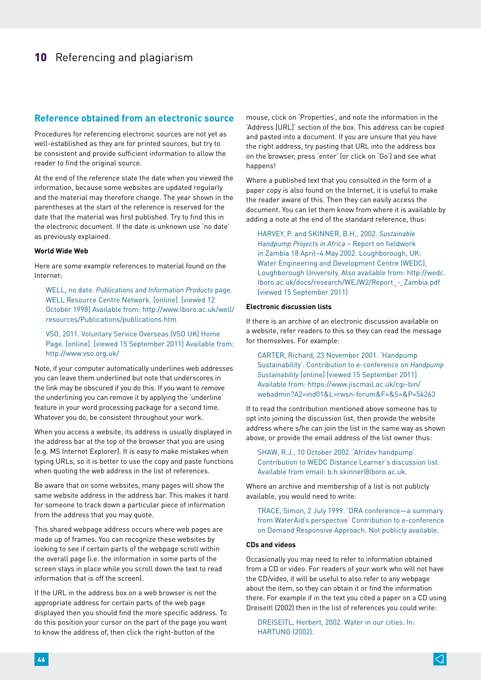### **Reference obtained from an electronic source**

Procedures for referencing electronic sources are not yet as well-established as they are for printed sources, but try to be consistent and provide sufficient information to allow the reader to find the original source.

At the end of the reference state the date when you viewed the information, because some websites are updated regularly and the material may therefore change. The year shown in the parentheses at the start of the reference is reserved for the date that the material was first published. Try to find this in the electronic document. If the date is unknown use 'no date' as previously explained.

#### **World Wide Web**

Here are some example references to material found on the Internet:

WELL, no date. *Publications and Information Products* page. WELL Resource Centre Network. [online] [viewed 12 October 1998] Available from: http://www.lboro.ac.uk/well/ resources/Publications/publications.htm

VSO, 2011. Voluntary Service Overseas (VSO UK) Home Page. [online] [viewed 15 September 2011] Available from: http://www.vso.org.uk/

Note, if your computer automatically underlines web addresses you can leave them underlined but note that underscores in the link may be obscured if you do this. If you want to remove the underlining you can remove it by applying the 'underline' feature in your word processing package for a second time. Whatever you do, be consistent throughout your work.

When you access a website, its address is usually displayed in the address bar at the top of the browser that you are using (e.g. MS Internet Explorer). It is easy to make mistakes when typing URLs, so it is better to use the copy and paste functions when quoting the web address in the list of references.

Be aware that on some websites, many pages will show the same website address in the address bar. This makes it hard for someone to track down a particular piece of information from the address that you may quote.

This shared webpage address occurs where web pages are made up of frames. You can recognize these websites by looking to see if certain parts of the webpage scroll within the overall page (i.e. the information in some parts of the screen stays in place while you scroll down the text to read information that is off the screen).

If the URL in the address box on a web browser is not the appropriate address for certain parts of the web page displayed then you should find the more specific address. To do this position your cursor on the part of the page you want to know the address of, then click the right-button of the

mouse, click on 'Properties', and note the information in the 'Address [URL]' section of the box. This address can be copied and pasted into a document. If you are unsure that you have the right address, try pasting that URL into the address box on the browser, press 'enter' (or click on 'Go') and see what happens!

Where a published text that you consulted in the form of a paper copy is also found on the Internet, it is useful to make the reader aware of this. Then they can easily access the document. You can let them know from where it is available by adding a note at the end of the standard reference, thus:

HARVEY, P. and SKINNER, B.H., 2002. *Sustainable Handpump Projects in Africa* – Report on fieldwork in Zambia 18 April–4 May 2002. Loughborough, UK: Water Engineering and Development Centre (WEDC), Loughborough University. Also available from: http://wedc. lboro.ac.uk/docs/research/WEJW2/Report\_-\_Zambia.pdf [viewed 15 September 2011]

#### **Electronic discussion lists**

If there is an archive of an electronic discussion available on a website, refer readers to this so they can read the message for themselves. For example:

CARTER, Richard, 23 November 2001. 'Handpump Sustainability'. Contribution to e-conference on *Handpump Sustainability* [online] [viewed 15 September 2011] Available from: https://www.jiscmail.ac.uk/cgi-bin/ webadmin?A2=ind01&L=rwsn-forum&F=&S=&P=54263

If to read the contribution mentioned above someone has to opt into joining the discussion list, then provide the website address where s/he can join the list in the same way as shown above, or provide the email address of the list owner thus:

SHAW, R.J., 10 October 2002. 'Afridev handpump' Contribution to WEDC Distance Learner's discussion list. Available from email: b.h.skinner@lboro.ac.uk.

Where an archive and membership of a list is not publicly available, you would need to write:

TRACE, Simon, 2 July 1999. 'DRA conference—a summary from WaterAid's perspective' Contribution to e-conference on Demand Responsive Approach. Not publicly available.

#### **CDs and videos**

Occasionally you may need to refer to information obtained from a CD or video. For readers of your work who will not have the CD/video, it will be useful to also refer to any webpage about the item, so they can obtain it or find the information there. For example if in the text you cited a paper on a CD using Dreiseitl (2002) then in the list of references you could write:

DREISEITL, Herbert, 2002. Water in our cities. In: HARTUNG (2002).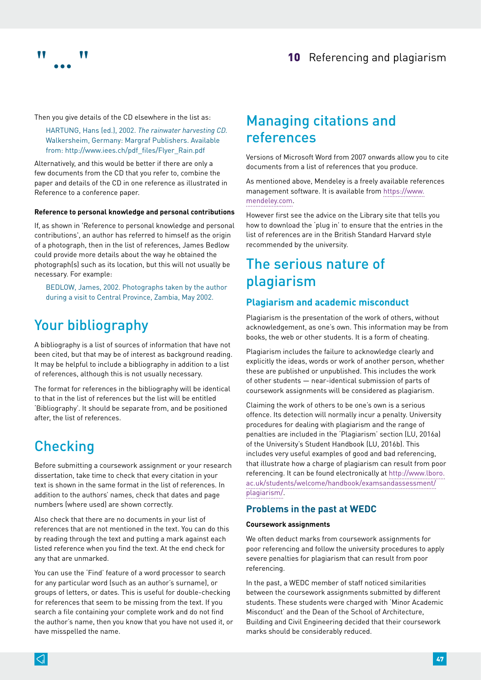



Then you give details of the CD elsewhere in the list as:

HARTUNG, Hans (ed.), 2002. *The rainwater harvesting CD.*  Walkersheim, Germany: Margraf Publishers. Available from: http://www.iees.ch/pdf\_files/Flyer\_Rain.pdf

Alternatively, and this would be better if there are only a few documents from the CD that you refer to, combine the paper and details of the CD in one reference as illustrated in [Reference to a conference paper.](#page-5-0)

#### **Reference to personal knowledge and personal contributions**

If, as shown in 'Reference to personal knowledge and personal contributions', an author has referred to himself as the origin of a photograph, then in the list of references, James Bedlow could provide more details about the way he obtained the photograph(s) such as its location, but this will not usually be necessary. For example:

BEDLOW, James, 2002. Photographs taken by the author during a visit to Central Province, Zambia, May 2002.

# Your bibliography

A bibliography is a list of sources of information that have not been cited, but that may be of interest as background reading. It may be helpful to include a bibliography in addition to a list of references, although this is not usually necessary.

The format for references in the bibliography will be identical to that in the list of references but the list will be entitled 'Bibliography'. It should be separate from, and be positioned after, the list of references.

# **Checking**

Before submitting a coursework assignment or your research dissertation, take time to check that every citation in your text is shown in the same format in the list of references. In addition to the authors' names, check that dates and page numbers (where used) are shown correctly.

Also check that there are no documents in your list of references that are not mentioned in the text. You can do this by reading through the text and putting a mark against each listed reference when you find the text. At the end check for any that are unmarked.

You can use the 'Find' feature of a word processor to search for any particular word (such as an author's surname), or groups of letters, or dates. This is useful for double-checking for references that seem to be missing from the text. If you search a file containing your complete work and do not find the author's name, then you know that you have not used it, or have misspelled the name.

# Managing citations and references

Versions of Microsoft Word from 2007 onwards allow you to cite documents from a list of references that you produce.

As mentioned above, Mendeley is a freely available references management software. It is available from [https://www.](https://www.mendeley.com) [mendeley.com](https://www.mendeley.com).

However first see the advice on the Library site that tells you how to download the 'plug in' to ensure that the entries in the list of references are in the British Standard Harvard style recommended by the university.

# The serious nature of plagiarism

### **Plagiarism and academic misconduct**

Plagiarism is the presentation of the work of others, without acknowledgement, as one's own. This information may be from books, the web or other students. It is a form of cheating.

Plagiarism includes the failure to acknowledge clearly and explicitly the ideas, words or work of another person, whether these are published or unpublished. This includes the work of other students — near-identical submission of parts of coursework assignments will be considered as plagiarism.

Claiming the work of others to be one's own is a serious offence. Its detection will normally incur a penalty. University procedures for dealing with plagiarism and the range of penalties are included in the 'Plagiarism' section (LU, 2016a) of the University's Student Handbook (LU, 2016b). This includes very useful examples of good and bad referencing, that illustrate how a charge of plagiarism can result from poor referencing. It can be found electronically at [http://www.lboro.](http://www.lboro.ac.uk/students/welcome/handbook/examsandassessment/plagiarism/) [ac.uk/students/welcome/handbook/examsandassessment/](http://www.lboro.ac.uk/students/welcome/handbook/examsandassessment/plagiarism/) [plagiarism/.](http://www.lboro.ac.uk/students/welcome/handbook/examsandassessment/plagiarism/)

# **Problems in the past at WEDC**

#### **Coursework assignments**

We often deduct marks from coursework assignments for poor referencing and follow the university procedures to apply severe penalties for plagiarism that can result from poor referencing.

In the past, a WEDC member of staff noticed similarities between the coursework assignments submitted by different students. These students were charged with 'Minor Academic Misconduct' and the Dean of the School of Architecture, Building and Civil Engineering decided that their coursework marks should be considerably reduced.